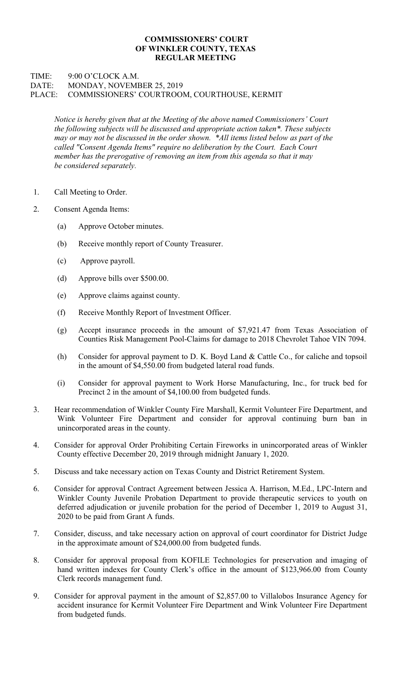## COMMISSIONERS' COURT OF WINKLER COUNTY, TEXAS REGULAR MEETING

## TIME: 9:00 O'CLOCK A.M. DATE: MONDAY, NOVEMBER 25, 2019 PLACE: COMMISSIONERS' COURTROOM, COURTHOUSE, KERMIT

Notice is hereby given that at the Meeting of the above named Commissioners' Court the following subjects will be discussed and appropriate action taken\*. These subjects may or may not be discussed in the order shown. \*All items listed below as part of the called "Consent Agenda Items" require no deliberation by the Court. Each Court member has the prerogative of removing an item from this agenda so that it may be considered separately.

- 1. Call Meeting to Order.
- 2. Consent Agenda Items:
	- (a) Approve October minutes.
	- (b) Receive monthly report of County Treasurer.
	- (c) Approve payroll.
	- (d) Approve bills over \$500.00.
	- (e) Approve claims against county.
	- (f) Receive Monthly Report of Investment Officer.
	- (g) Accept insurance proceeds in the amount of \$7,921.47 from Texas Association of Counties Risk Management Pool-Claims for damage to 2018 Chevrolet Tahoe VIN 7094.
	- (h) Consider for approval payment to D. K. Boyd Land & Cattle Co., for caliche and topsoil in the amount of \$4,550.00 from budgeted lateral road funds.
	- (i) Consider for approval payment to Work Horse Manufacturing, Inc., for truck bed for Precinct 2 in the amount of \$4,100.00 from budgeted funds.
- 3. Hear recommendation of Winkler County Fire Marshall, Kermit Volunteer Fire Department, and Wink Volunteer Fire Department and consider for approval continuing burn ban in unincorporated areas in the county.
- 4. Consider for approval Order Prohibiting Certain Fireworks in unincorporated areas of Winkler County effective December 20, 2019 through midnight January 1, 2020.
- 5. Discuss and take necessary action on Texas County and District Retirement System.
- 6. Consider for approval Contract Agreement between Jessica A. Harrison, M.Ed., LPC-Intern and Winkler County Juvenile Probation Department to provide therapeutic services to youth on deferred adjudication or juvenile probation for the period of December 1, 2019 to August 31, 2020 to be paid from Grant A funds.
- 7. Consider, discuss, and take necessary action on approval of court coordinator for District Judge in the approximate amount of \$24,000.00 from budgeted funds.
- 8. Consider for approval proposal from KOFILE Technologies for preservation and imaging of hand written indexes for County Clerk's office in the amount of \$123,966.00 from County Clerk records management fund.
- 9. Consider for approval payment in the amount of \$2,857.00 to Villalobos Insurance Agency for accident insurance for Kermit Volunteer Fire Department and Wink Volunteer Fire Department from budgeted funds.